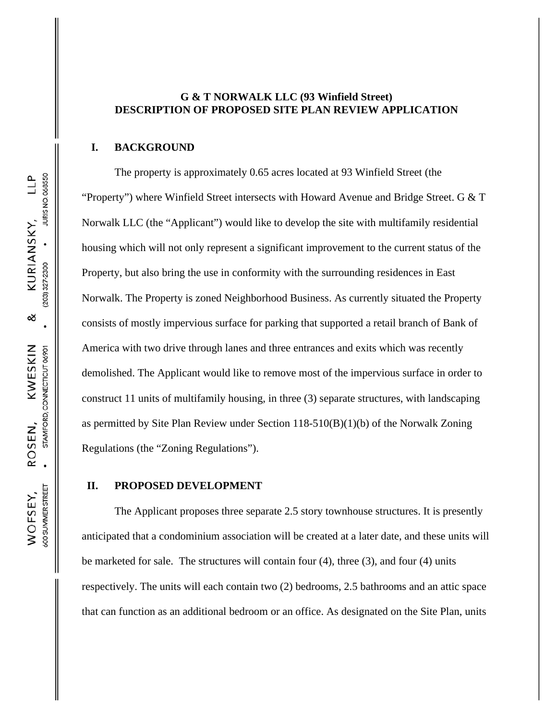## **G & T NORWALK LLC (93 Winfield Street) DESCRIPTION OF PROPOSED SITE PLAN REVIEW APPLICATION**

#### **I. BACKGROUND**

The property is approximately 0.65 acres located at 93 Winfield Street (the "Property") where Winfield Street intersects with Howard Avenue and Bridge Street. G  $&$  T Norwalk LLC (the "Applicant") would like to develop the site with multifamily residential housing which will not only represent a significant improvement to the current status of the Property, but also bring the use in conformity with the surrounding residences in East Norwalk. The Property is zoned Neighborhood Business. As currently situated the Property consists of mostly impervious surface for parking that supported a retail branch of Bank of America with two drive through lanes and three entrances and exits which was recently demolished. The Applicant would like to remove most of the impervious surface in order to construct 11 units of multifamily housing, in three (3) separate structures, with landscaping as permitted by Site Plan Review under Section 118-510(B)(1)(b) of the Norwalk Zoning Regulations (the "Zoning Regulations").

### **II. PROPOSED DEVELOPMENT**

The Applicant proposes three separate 2.5 story townhouse structures. It is presently anticipated that a condominium association will be created at a later date, and these units will be marketed for sale. The structures will contain four (4), three (3), and four (4) units respectively. The units will each contain two (2) bedrooms, 2.5 bathrooms and an attic space that can function as an additional bedroom or an office. As designated on the Site Plan, units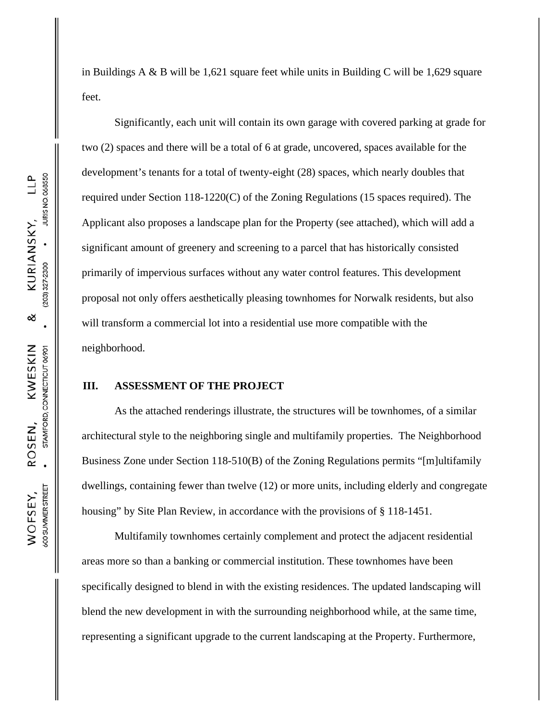in Buildings A & B will be 1,621 square feet while units in Building C will be 1,629 square feet.

Significantly, each unit will contain its own garage with covered parking at grade for two (2) spaces and there will be a total of 6 at grade, uncovered, spaces available for the development's tenants for a total of twenty-eight (28) spaces, which nearly doubles that required under Section 118-1220(C) of the Zoning Regulations (15 spaces required). The Applicant also proposes a landscape plan for the Property (see attached), which will add a significant amount of greenery and screening to a parcel that has historically consisted primarily of impervious surfaces without any water control features. This development proposal not only offers aesthetically pleasing townhomes for Norwalk residents, but also will transform a commercial lot into a residential use more compatible with the neighborhood.

### **III. ASSESSMENT OF THE PROJECT**

As the attached renderings illustrate, the structures will be townhomes, of a similar architectural style to the neighboring single and multifamily properties. The Neighborhood Business Zone under Section 118-510(B) of the Zoning Regulations permits "[m]ultifamily dwellings, containing fewer than twelve (12) or more units, including elderly and congregate housing" by Site Plan Review, in accordance with the provisions of § 118-1451.

Multifamily townhomes certainly complement and protect the adjacent residential areas more so than a banking or commercial institution. These townhomes have been specifically designed to blend in with the existing residences. The updated landscaping will blend the new development in with the surrounding neighborhood while, at the same time, representing a significant upgrade to the current landscaping at the Property. Furthermore,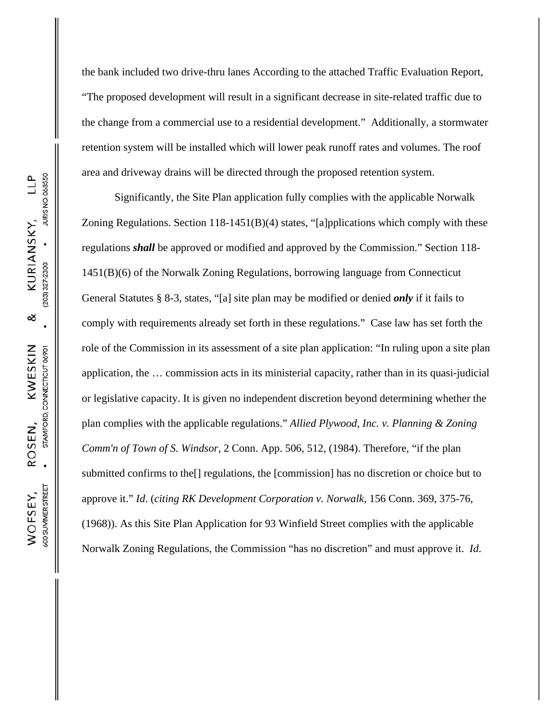the bank included two drive-thru lanes According to the attached Traffic Evaluation Report, "The proposed development will result in a significant decrease in site-related traffic due to the change from a commercial use to a residential development." Additionally, a stormwater retention system will be installed which will lower peak runoff rates and volumes. The roof area and driveway drains will be directed through the proposed retention system. Significantly, the Site Plan application fully complies with the applicable Norwalk Zoning Regulations. Section  $118-1451(B)(4)$  states, "[a]pplications which comply with these

regulations *shall* be approved or modified and approved by the Commission." Section 118- 1451(B)(6) of the Norwalk Zoning Regulations, borrowing language from Connecticut General Statutes § 8-3, states, "[a] site plan may be modified or denied *only* if it fails to comply with requirements already set forth in these regulations." Case law has set forth the role of the Commission in its assessment of a site plan application: "In ruling upon a site plan application, the … commission acts in its ministerial capacity, rather than in its quasi-judicial or legislative capacity. It is given no independent discretion beyond determining whether the plan complies with the applicable regulations." *Allied Plywood, Inc. v. Planning & Zoning Comm'n of Town of S. Windsor*, 2 Conn. App. 506, 512, (1984). Therefore, "if the plan submitted confirms to the[] regulations, the [commission] has no discretion or choice but to approve it." *Id*. (*citing RK Development Corporation v. Norwalk*, 156 Conn. 369, 375-76, (1968)). As this Site Plan Application for 93 Winfield Street complies with the applicable Norwalk Zoning Regulations, the Commission "has no discretion" and must approve it. *Id*.